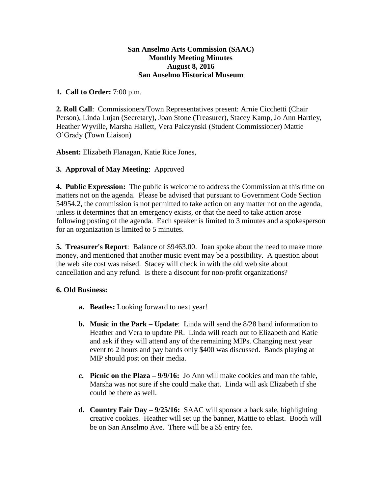### **San Anselmo Arts Commission (SAAC) Monthly Meeting Minutes August 8, 2016 San Anselmo Historical Museum**

## **1. Call to Order:** 7:00 p.m.

**2. Roll Call**: Commissioners/Town Representatives present: Arnie Cicchetti (Chair Person), Linda Lujan (Secretary), Joan Stone (Treasurer), Stacey Kamp, Jo Ann Hartley, Heather Wyville, Marsha Hallett, Vera Palczynski (Student Commissioner) Mattie O'Grady (Town Liaison)

**Absent:** Elizabeth Flanagan, Katie Rice Jones,

# **3. Approval of May Meeting**: Approved

**4. Public Expression:** The public is welcome to address the Commission at this time on matters not on the agenda. Please be advised that pursuant to Government Code Section 54954.2, the commission is not permitted to take action on any matter not on the agenda, unless it determines that an emergency exists, or that the need to take action arose following posting of the agenda. Each speaker is limited to 3 minutes and a spokesperson for an organization is limited to 5 minutes.

**5. Treasurer's Report**: Balance of \$9463.00. Joan spoke about the need to make more money, and mentioned that another music event may be a possibility. A question about the web site cost was raised. Stacey will check in with the old web site about cancellation and any refund. Is there a discount for non-profit organizations?

### **6. Old Business:**

- **a. Beatles:** Looking forward to next year!
- **b. Music in the Park – Update**: Linda will send the 8/28 band information to Heather and Vera to update PR. Linda will reach out to Elizabeth and Katie and ask if they will attend any of the remaining MIPs. Changing next year event to 2 hours and pay bands only \$400 was discussed. Bands playing at MIP should post on their media.
- **c. Picnic on the Plaza – 9/9/16:** Jo Ann will make cookies and man the table, Marsha was not sure if she could make that. Linda will ask Elizabeth if she could be there as well.
- **d. Country Fair Day – 9/25/16:** SAAC will sponsor a back sale, highlighting creative cookies. Heather will set up the banner, Mattie to eblast. Booth will be on San Anselmo Ave. There will be a \$5 entry fee.